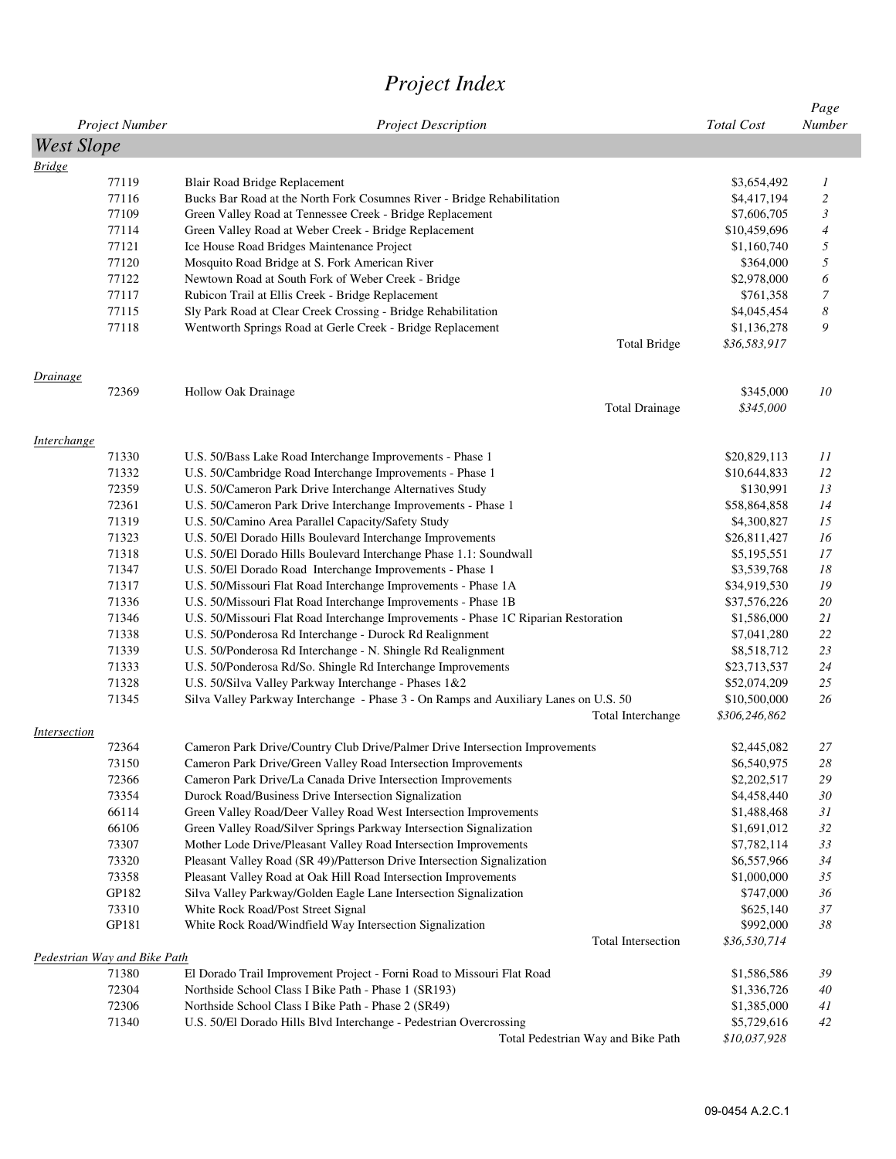## *Project Index*

|                     |                                       |                                                                                                             | <b>Total Cost</b>          | Page<br>Number |
|---------------------|---------------------------------------|-------------------------------------------------------------------------------------------------------------|----------------------------|----------------|
|                     | Project Number                        | <b>Project Description</b>                                                                                  |                            |                |
| <b>West Slope</b>   |                                       |                                                                                                             |                            |                |
| <b>Bridge</b>       | 77119                                 | Blair Road Bridge Replacement                                                                               | \$3,654,492                | 1              |
|                     | 77116                                 | Bucks Bar Road at the North Fork Cosumnes River - Bridge Rehabilitation                                     | \$4,417,194                | $\overline{c}$ |
|                     | 77109                                 | Green Valley Road at Tennessee Creek - Bridge Replacement                                                   | \$7,606,705                | 3              |
|                     | 77114                                 | Green Valley Road at Weber Creek - Bridge Replacement                                                       | \$10,459,696               | 4              |
|                     | 77121                                 | Ice House Road Bridges Maintenance Project                                                                  | \$1,160,740                | 5              |
|                     | 77120                                 | Mosquito Road Bridge at S. Fork American River                                                              | \$364,000                  | 5              |
|                     | 77122                                 | Newtown Road at South Fork of Weber Creek - Bridge                                                          | \$2,978,000                | 6              |
|                     | 77117                                 | Rubicon Trail at Ellis Creek - Bridge Replacement                                                           | \$761,358                  | $\overline{7}$ |
|                     | 77115                                 | Sly Park Road at Clear Creek Crossing - Bridge Rehabilitation                                               | \$4,045,454                | 8              |
|                     | 77118                                 | Wentworth Springs Road at Gerle Creek - Bridge Replacement                                                  | \$1,136,278                | 9              |
|                     |                                       | <b>Total Bridge</b>                                                                                         | \$36,583,917               |                |
| <i>Drainage</i>     |                                       |                                                                                                             |                            |                |
|                     | 72369                                 | Hollow Oak Drainage                                                                                         | \$345,000                  | 10             |
|                     |                                       | <b>Total Drainage</b>                                                                                       | \$345,000                  |                |
| <i>Interchange</i>  |                                       |                                                                                                             |                            |                |
|                     | 71330                                 | U.S. 50/Bass Lake Road Interchange Improvements - Phase 1                                                   | \$20,829,113               | 11             |
|                     | 71332                                 | U.S. 50/Cambridge Road Interchange Improvements - Phase 1                                                   | \$10,644,833<br>\$130,991  | 12             |
|                     | 72359                                 | U.S. 50/Cameron Park Drive Interchange Alternatives Study                                                   |                            | 13             |
|                     | 72361<br>71319                        | U.S. 50/Cameron Park Drive Interchange Improvements - Phase 1                                               | \$58,864,858               | 14             |
|                     |                                       | U.S. 50/Camino Area Parallel Capacity/Safety Study                                                          | \$4,300,827                | 15             |
|                     | 71323                                 | U.S. 50/El Dorado Hills Boulevard Interchange Improvements                                                  | \$26,811,427               | 16             |
|                     | 71318                                 | U.S. 50/El Dorado Hills Boulevard Interchange Phase 1.1: Soundwall                                          | \$5,195,551                | 17             |
|                     | 71347                                 | U.S. 50/El Dorado Road Interchange Improvements - Phase 1                                                   | \$3,539,768                | 18             |
|                     | 71317                                 | U.S. 50/Missouri Flat Road Interchange Improvements - Phase 1A                                              | \$34,919,530               | 19             |
|                     | 71336                                 | U.S. 50/Missouri Flat Road Interchange Improvements - Phase 1B                                              | \$37,576,226               | 20             |
|                     | 71346                                 | U.S. 50/Missouri Flat Road Interchange Improvements - Phase 1C Riparian Restoration                         | \$1,586,000                | 21             |
|                     | 71338                                 | U.S. 50/Ponderosa Rd Interchange - Durock Rd Realignment                                                    | \$7,041,280                | 22             |
|                     | 71339                                 | U.S. 50/Ponderosa Rd Interchange - N. Shingle Rd Realignment                                                | \$8,518,712                | 23             |
|                     | 71333                                 | U.S. 50/Ponderosa Rd/So. Shingle Rd Interchange Improvements                                                | \$23,713,537               | 24             |
|                     | 71328                                 | U.S. 50/Silva Valley Parkway Interchange - Phases 1&2                                                       | \$52,074,209               | 25             |
|                     | 71345                                 | Silva Valley Parkway Interchange - Phase 3 - On Ramps and Auxiliary Lanes on U.S. 50                        | \$10,500,000               | 26             |
| <i>Intersection</i> |                                       | Total Interchange                                                                                           | \$306,246,862              |                |
|                     | 72364                                 | Cameron Park Drive/Country Club Drive/Palmer Drive Intersection Improvements                                | \$2,445,082                | 27             |
|                     | 73150                                 | Cameron Park Drive/Green Valley Road Intersection Improvements                                              | \$6,540,975                | 28             |
|                     | 72366                                 | Cameron Park Drive/La Canada Drive Intersection Improvements                                                | \$2,202,517                | 29             |
|                     | 73354                                 | Durock Road/Business Drive Intersection Signalization                                                       | \$4,458,440                | 30             |
|                     | 66114                                 | Green Valley Road/Deer Valley Road West Intersection Improvements                                           | \$1,488,468                | 31             |
|                     | 66106                                 | Green Valley Road/Silver Springs Parkway Intersection Signalization                                         | \$1,691,012                | 32             |
|                     | 73307                                 | Mother Lode Drive/Pleasant Valley Road Intersection Improvements                                            | \$7,782,114                | 33             |
|                     | 73320                                 | Pleasant Valley Road (SR 49)/Patterson Drive Intersection Signalization                                     | \$6,557,966                | 34             |
|                     | 73358                                 | Pleasant Valley Road at Oak Hill Road Intersection Improvements                                             | \$1,000,000                | 35             |
|                     | GP182                                 | Silva Valley Parkway/Golden Eagle Lane Intersection Signalization                                           | \$747,000                  | 36             |
|                     | 73310                                 | White Rock Road/Post Street Signal                                                                          | \$625,140                  | 37             |
|                     | GP181                                 | White Rock Road/Windfield Way Intersection Signalization                                                    | \$992,000                  | 38             |
|                     |                                       | Total Intersection                                                                                          | \$36,530,714               |                |
|                     | Pedestrian Way and Bike Path<br>71380 |                                                                                                             |                            | 39             |
|                     | 72304                                 | El Dorado Trail Improvement Project - Forni Road to Missouri Flat Road                                      | \$1,586,586                | 40             |
|                     | 72306                                 | Northside School Class I Bike Path - Phase 1 (SR193)<br>Northside School Class I Bike Path - Phase 2 (SR49) | \$1,336,726<br>\$1,385,000 | 41             |
|                     | 71340                                 | U.S. 50/El Dorado Hills Blvd Interchange - Pedestrian Overcrossing                                          | \$5,729,616                | 42             |
|                     |                                       | Total Pedestrian Way and Bike Path                                                                          | \$10,037,928               |                |
|                     |                                       |                                                                                                             |                            |                |